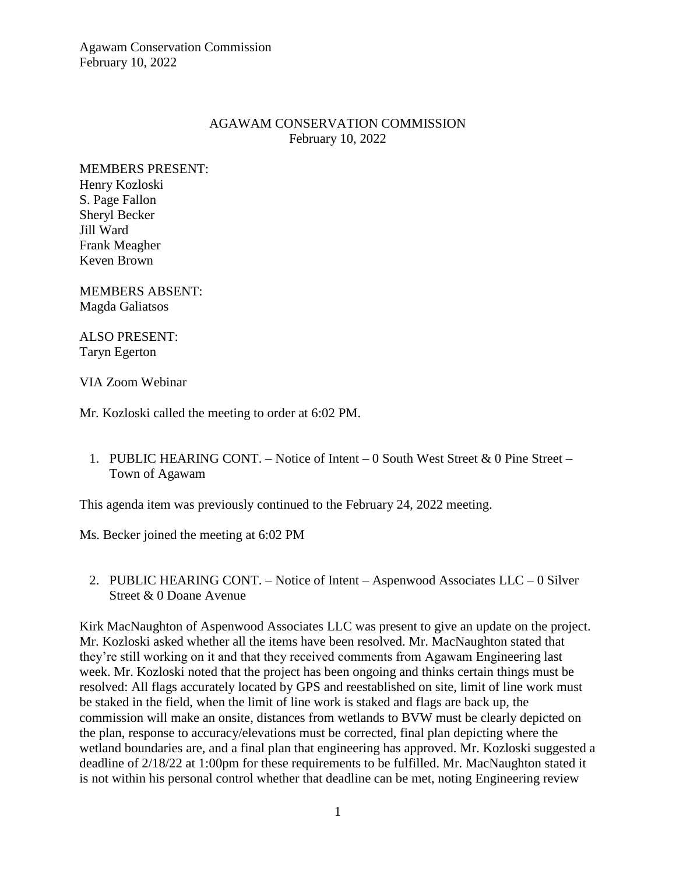## AGAWAM CONSERVATION COMMISSION February 10, 2022

MEMBERS PRESENT: Henry Kozloski S. Page Fallon Sheryl Becker Jill Ward Frank Meagher Keven Brown

MEMBERS ABSENT: Magda Galiatsos

ALSO PRESENT: Taryn Egerton

VIA Zoom Webinar

Mr. Kozloski called the meeting to order at 6:02 PM.

1. PUBLIC HEARING CONT. – Notice of Intent – 0 South West Street & 0 Pine Street – Town of Agawam

This agenda item was previously continued to the February 24, 2022 meeting.

Ms. Becker joined the meeting at 6:02 PM

2. PUBLIC HEARING CONT. – Notice of Intent – Aspenwood Associates LLC – 0 Silver Street & 0 Doane Avenue

Kirk MacNaughton of Aspenwood Associates LLC was present to give an update on the project. Mr. Kozloski asked whether all the items have been resolved. Mr. MacNaughton stated that they're still working on it and that they received comments from Agawam Engineering last week. Mr. Kozloski noted that the project has been ongoing and thinks certain things must be resolved: All flags accurately located by GPS and reestablished on site, limit of line work must be staked in the field, when the limit of line work is staked and flags are back up, the commission will make an onsite, distances from wetlands to BVW must be clearly depicted on the plan, response to accuracy/elevations must be corrected, final plan depicting where the wetland boundaries are, and a final plan that engineering has approved. Mr. Kozloski suggested a deadline of 2/18/22 at 1:00pm for these requirements to be fulfilled. Mr. MacNaughton stated it is not within his personal control whether that deadline can be met, noting Engineering review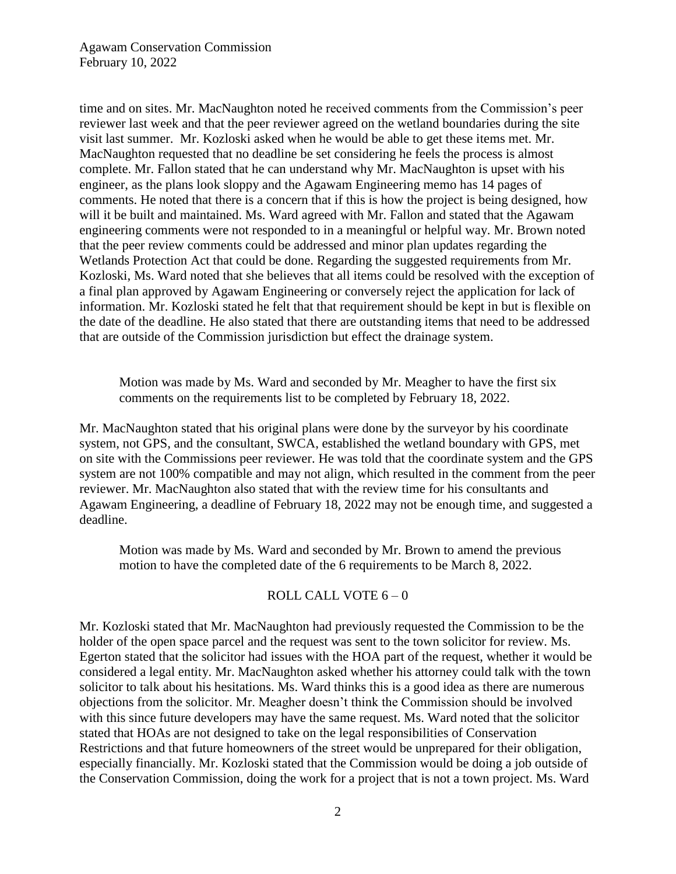time and on sites. Mr. MacNaughton noted he received comments from the Commission's peer reviewer last week and that the peer reviewer agreed on the wetland boundaries during the site visit last summer. Mr. Kozloski asked when he would be able to get these items met. Mr. MacNaughton requested that no deadline be set considering he feels the process is almost complete. Mr. Fallon stated that he can understand why Mr. MacNaughton is upset with his engineer, as the plans look sloppy and the Agawam Engineering memo has 14 pages of comments. He noted that there is a concern that if this is how the project is being designed, how will it be built and maintained. Ms. Ward agreed with Mr. Fallon and stated that the Agawam engineering comments were not responded to in a meaningful or helpful way. Mr. Brown noted that the peer review comments could be addressed and minor plan updates regarding the Wetlands Protection Act that could be done. Regarding the suggested requirements from Mr. Kozloski, Ms. Ward noted that she believes that all items could be resolved with the exception of a final plan approved by Agawam Engineering or conversely reject the application for lack of information. Mr. Kozloski stated he felt that that requirement should be kept in but is flexible on the date of the deadline. He also stated that there are outstanding items that need to be addressed that are outside of the Commission jurisdiction but effect the drainage system.

Motion was made by Ms. Ward and seconded by Mr. Meagher to have the first six comments on the requirements list to be completed by February 18, 2022.

Mr. MacNaughton stated that his original plans were done by the surveyor by his coordinate system, not GPS, and the consultant, SWCA, established the wetland boundary with GPS, met on site with the Commissions peer reviewer. He was told that the coordinate system and the GPS system are not 100% compatible and may not align, which resulted in the comment from the peer reviewer. Mr. MacNaughton also stated that with the review time for his consultants and Agawam Engineering, a deadline of February 18, 2022 may not be enough time, and suggested a deadline.

Motion was made by Ms. Ward and seconded by Mr. Brown to amend the previous motion to have the completed date of the 6 requirements to be March 8, 2022.

#### ROLL CALL VOTE 6 – 0

Mr. Kozloski stated that Mr. MacNaughton had previously requested the Commission to be the holder of the open space parcel and the request was sent to the town solicitor for review. Ms. Egerton stated that the solicitor had issues with the HOA part of the request, whether it would be considered a legal entity. Mr. MacNaughton asked whether his attorney could talk with the town solicitor to talk about his hesitations. Ms. Ward thinks this is a good idea as there are numerous objections from the solicitor. Mr. Meagher doesn't think the Commission should be involved with this since future developers may have the same request. Ms. Ward noted that the solicitor stated that HOAs are not designed to take on the legal responsibilities of Conservation Restrictions and that future homeowners of the street would be unprepared for their obligation, especially financially. Mr. Kozloski stated that the Commission would be doing a job outside of the Conservation Commission, doing the work for a project that is not a town project. Ms. Ward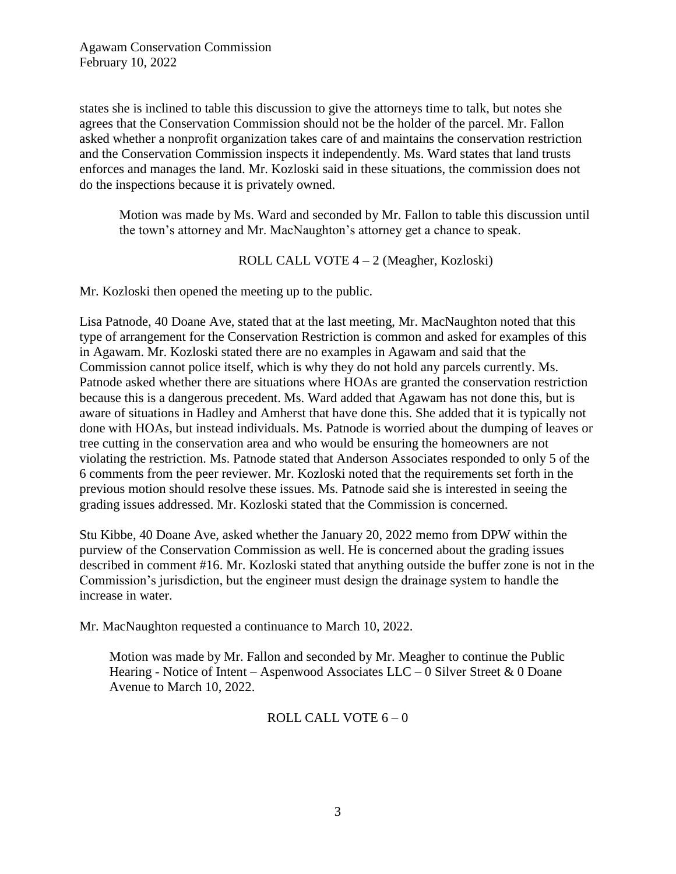states she is inclined to table this discussion to give the attorneys time to talk, but notes she agrees that the Conservation Commission should not be the holder of the parcel. Mr. Fallon asked whether a nonprofit organization takes care of and maintains the conservation restriction and the Conservation Commission inspects it independently. Ms. Ward states that land trusts enforces and manages the land. Mr. Kozloski said in these situations, the commission does not do the inspections because it is privately owned.

Motion was made by Ms. Ward and seconded by Mr. Fallon to table this discussion until the town's attorney and Mr. MacNaughton's attorney get a chance to speak.

ROLL CALL VOTE 4 – 2 (Meagher, Kozloski)

Mr. Kozloski then opened the meeting up to the public.

Lisa Patnode, 40 Doane Ave, stated that at the last meeting, Mr. MacNaughton noted that this type of arrangement for the Conservation Restriction is common and asked for examples of this in Agawam. Mr. Kozloski stated there are no examples in Agawam and said that the Commission cannot police itself, which is why they do not hold any parcels currently. Ms. Patnode asked whether there are situations where HOAs are granted the conservation restriction because this is a dangerous precedent. Ms. Ward added that Agawam has not done this, but is aware of situations in Hadley and Amherst that have done this. She added that it is typically not done with HOAs, but instead individuals. Ms. Patnode is worried about the dumping of leaves or tree cutting in the conservation area and who would be ensuring the homeowners are not violating the restriction. Ms. Patnode stated that Anderson Associates responded to only 5 of the 6 comments from the peer reviewer. Mr. Kozloski noted that the requirements set forth in the previous motion should resolve these issues. Ms. Patnode said she is interested in seeing the grading issues addressed. Mr. Kozloski stated that the Commission is concerned.

Stu Kibbe, 40 Doane Ave, asked whether the January 20, 2022 memo from DPW within the purview of the Conservation Commission as well. He is concerned about the grading issues described in comment #16. Mr. Kozloski stated that anything outside the buffer zone is not in the Commission's jurisdiction, but the engineer must design the drainage system to handle the increase in water.

Mr. MacNaughton requested a continuance to March 10, 2022.

Motion was made by Mr. Fallon and seconded by Mr. Meagher to continue the Public Hearing - Notice of Intent – Aspenwood Associates LLC – 0 Silver Street & 0 Doane Avenue to March 10, 2022.

## ROLL CALL VOTE  $6 - 0$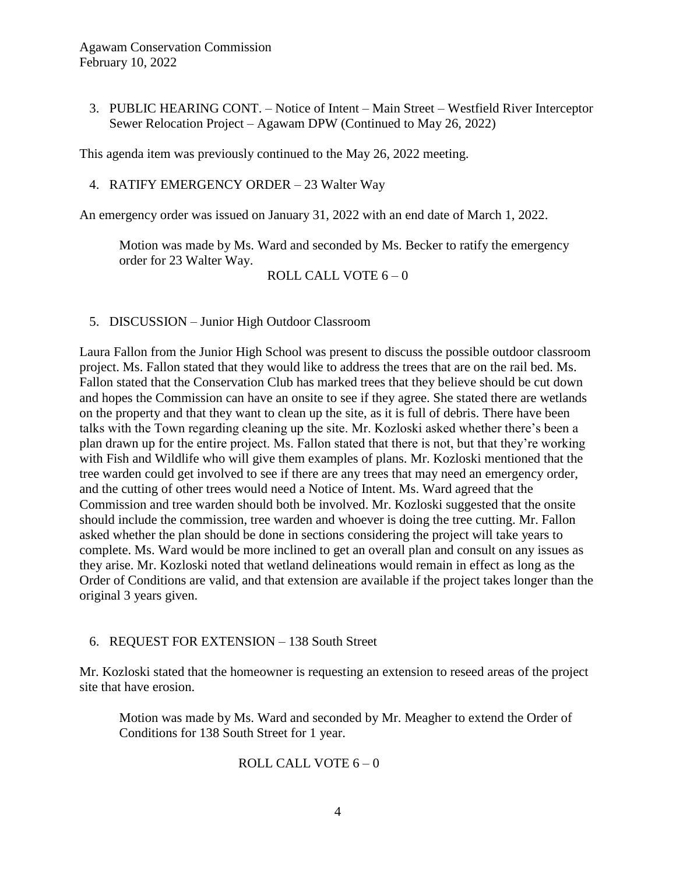3. PUBLIC HEARING CONT. – Notice of Intent – Main Street – Westfield River Interceptor Sewer Relocation Project – Agawam DPW (Continued to May 26, 2022)

This agenda item was previously continued to the May 26, 2022 meeting.

4. RATIFY EMERGENCY ORDER – 23 Walter Way

An emergency order was issued on January 31, 2022 with an end date of March 1, 2022.

Motion was made by Ms. Ward and seconded by Ms. Becker to ratify the emergency order for 23 Walter Way.

ROLL CALL VOTE 6 – 0

5. DISCUSSION – Junior High Outdoor Classroom

Laura Fallon from the Junior High School was present to discuss the possible outdoor classroom project. Ms. Fallon stated that they would like to address the trees that are on the rail bed. Ms. Fallon stated that the Conservation Club has marked trees that they believe should be cut down and hopes the Commission can have an onsite to see if they agree. She stated there are wetlands on the property and that they want to clean up the site, as it is full of debris. There have been talks with the Town regarding cleaning up the site. Mr. Kozloski asked whether there's been a plan drawn up for the entire project. Ms. Fallon stated that there is not, but that they're working with Fish and Wildlife who will give them examples of plans. Mr. Kozloski mentioned that the tree warden could get involved to see if there are any trees that may need an emergency order, and the cutting of other trees would need a Notice of Intent. Ms. Ward agreed that the Commission and tree warden should both be involved. Mr. Kozloski suggested that the onsite should include the commission, tree warden and whoever is doing the tree cutting. Mr. Fallon asked whether the plan should be done in sections considering the project will take years to complete. Ms. Ward would be more inclined to get an overall plan and consult on any issues as they arise. Mr. Kozloski noted that wetland delineations would remain in effect as long as the Order of Conditions are valid, and that extension are available if the project takes longer than the original 3 years given.

## 6. REQUEST FOR EXTENSION – 138 South Street

Mr. Kozloski stated that the homeowner is requesting an extension to reseed areas of the project site that have erosion.

Motion was made by Ms. Ward and seconded by Mr. Meagher to extend the Order of Conditions for 138 South Street for 1 year.

ROLL CALL VOTE  $6 - 0$